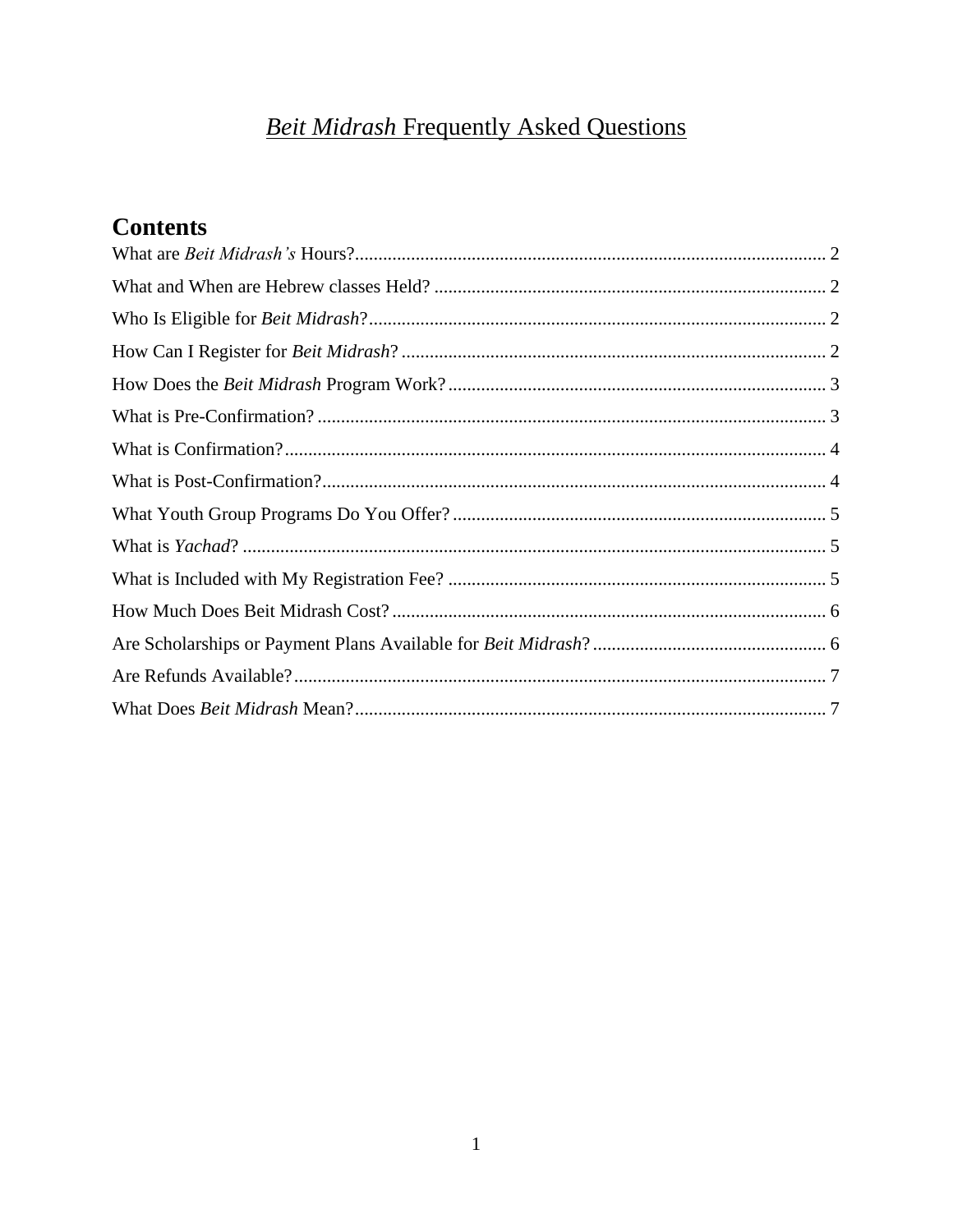# **Beit Midrash Frequently Asked Questions**

# **Contents**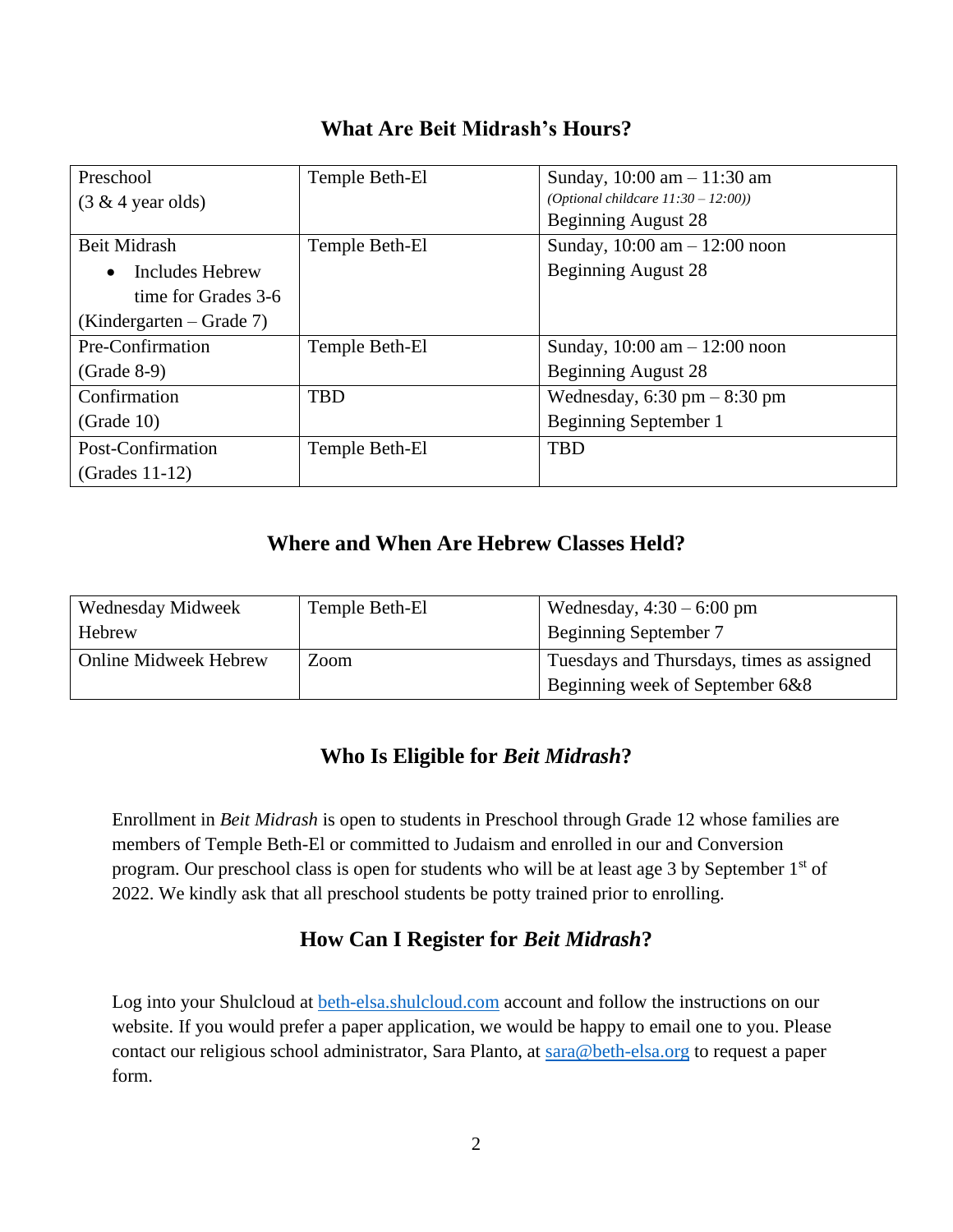<span id="page-1-0"></span>

| Preschool                    | Temple Beth-El | Sunday, $10:00$ am $-11:30$ am                  |
|------------------------------|----------------|-------------------------------------------------|
| $(3 \& 4 \text{ year old})$  |                | (Optional childcare $11:30 - 12:00$ ))          |
|                              |                | Beginning August 28                             |
| Beit Midrash                 | Temple Beth-El | Sunday, $10:00 \text{ am} - 12:00 \text{ noon}$ |
| Includes Hebrew<br>$\bullet$ |                | Beginning August 28                             |
| time for Grades 3-6          |                |                                                 |
| $(Kindergarten - Grade 7)$   |                |                                                 |
| Pre-Confirmation             | Temple Beth-El | Sunday, $10:00 \text{ am} - 12:00 \text{ noon}$ |
| $(Grade 8-9)$                |                | <b>Beginning August 28</b>                      |
| Confirmation                 | <b>TBD</b>     | Wednesday, $6:30 \text{ pm} - 8:30 \text{ pm}$  |
| (Grade 10)                   |                | Beginning September 1                           |
| Post-Confirmation            | Temple Beth-El | <b>TBD</b>                                      |
| $(Grades 11-12)$             |                |                                                 |

### **What Are Beit Midrash's Hours?**

# **Where and When Are Hebrew Classes Held?**

<span id="page-1-1"></span>

| Wednesday Midweek            | Temple Beth-El | Wednesday, $4:30 - 6:00$ pm               |  |
|------------------------------|----------------|-------------------------------------------|--|
| <b>Hebrew</b>                |                | Beginning September 7                     |  |
| <b>Online Midweek Hebrew</b> | Zoom           | Tuesdays and Thursdays, times as assigned |  |
|                              |                | Beginning week of September 6&8           |  |

### **Who Is Eligible for** *Beit Midrash***?**

<span id="page-1-2"></span>Enrollment in *Beit Midrash* is open to students in Preschool through Grade 12 whose families are members of Temple Beth-El or committed to Judaism and enrolled in our and Conversion program. Our preschool class is open for students who will be at least age 3 by September 1st of 2022. We kindly ask that all preschool students be potty trained prior to enrolling.

### **How Can I Register for** *Beit Midrash***?**

<span id="page-1-3"></span>Log into your Shulcloud at<beth-elsa.shulcloud.com> account and follow the instructions on our website. If you would prefer a paper application, we would be happy to email one to you. Please contact our religious school administrator, Sara Planto, at [sara@beth-elsa.org](mailto:sara@beth-elsa.org) to request a paper form.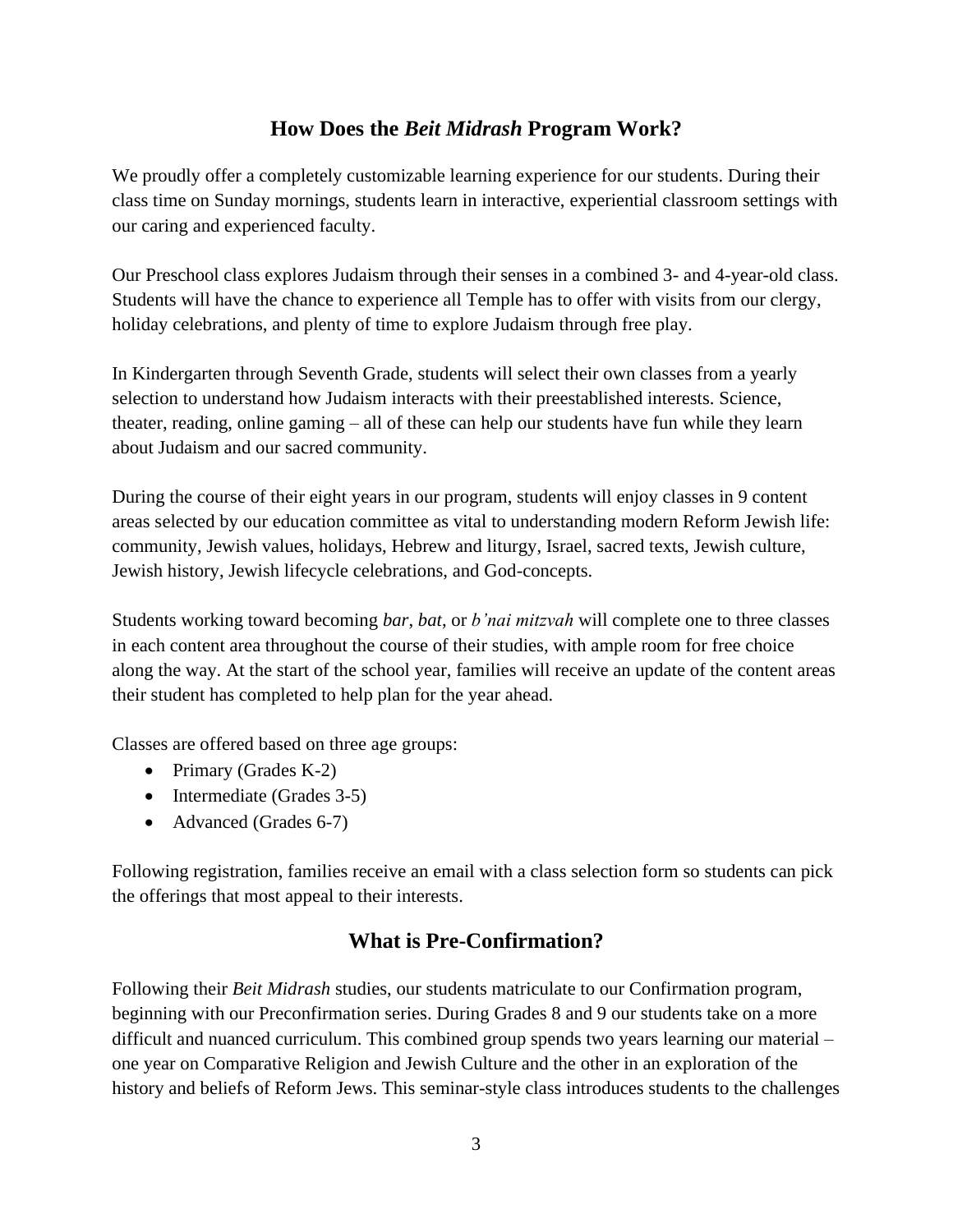#### **How Does the** *Beit Midrash* **Program Work?**

<span id="page-2-0"></span>We proudly offer a completely customizable learning experience for our students. During their class time on Sunday mornings, students learn in interactive, experiential classroom settings with our caring and experienced faculty.

Our Preschool class explores Judaism through their senses in a combined 3- and 4-year-old class. Students will have the chance to experience all Temple has to offer with visits from our clergy, holiday celebrations, and plenty of time to explore Judaism through free play.

In Kindergarten through Seventh Grade, students will select their own classes from a yearly selection to understand how Judaism interacts with their preestablished interests. Science, theater, reading, online gaming – all of these can help our students have fun while they learn about Judaism and our sacred community.

During the course of their eight years in our program, students will enjoy classes in 9 content areas selected by our education committee as vital to understanding modern Reform Jewish life: community, Jewish values, holidays, Hebrew and liturgy, Israel, sacred texts, Jewish culture, Jewish history, Jewish lifecycle celebrations, and God-concepts.

Students working toward becoming *bar*, *bat*, or *b'nai mitzvah* will complete one to three classes in each content area throughout the course of their studies, with ample room for free choice along the way. At the start of the school year, families will receive an update of the content areas their student has completed to help plan for the year ahead.

Classes are offered based on three age groups:

- Primary (Grades K-2)
- Intermediate (Grades 3-5)
- Advanced (Grades 6-7)

<span id="page-2-1"></span>Following registration, families receive an email with a class selection form so students can pick the offerings that most appeal to their interests.

#### **What is Pre-Confirmation?**

Following their *Beit Midrash* studies, our students matriculate to our Confirmation program, beginning with our Preconfirmation series. During Grades 8 and 9 our students take on a more difficult and nuanced curriculum. This combined group spends two years learning our material – one year on Comparative Religion and Jewish Culture and the other in an exploration of the history and beliefs of Reform Jews. This seminar-style class introduces students to the challenges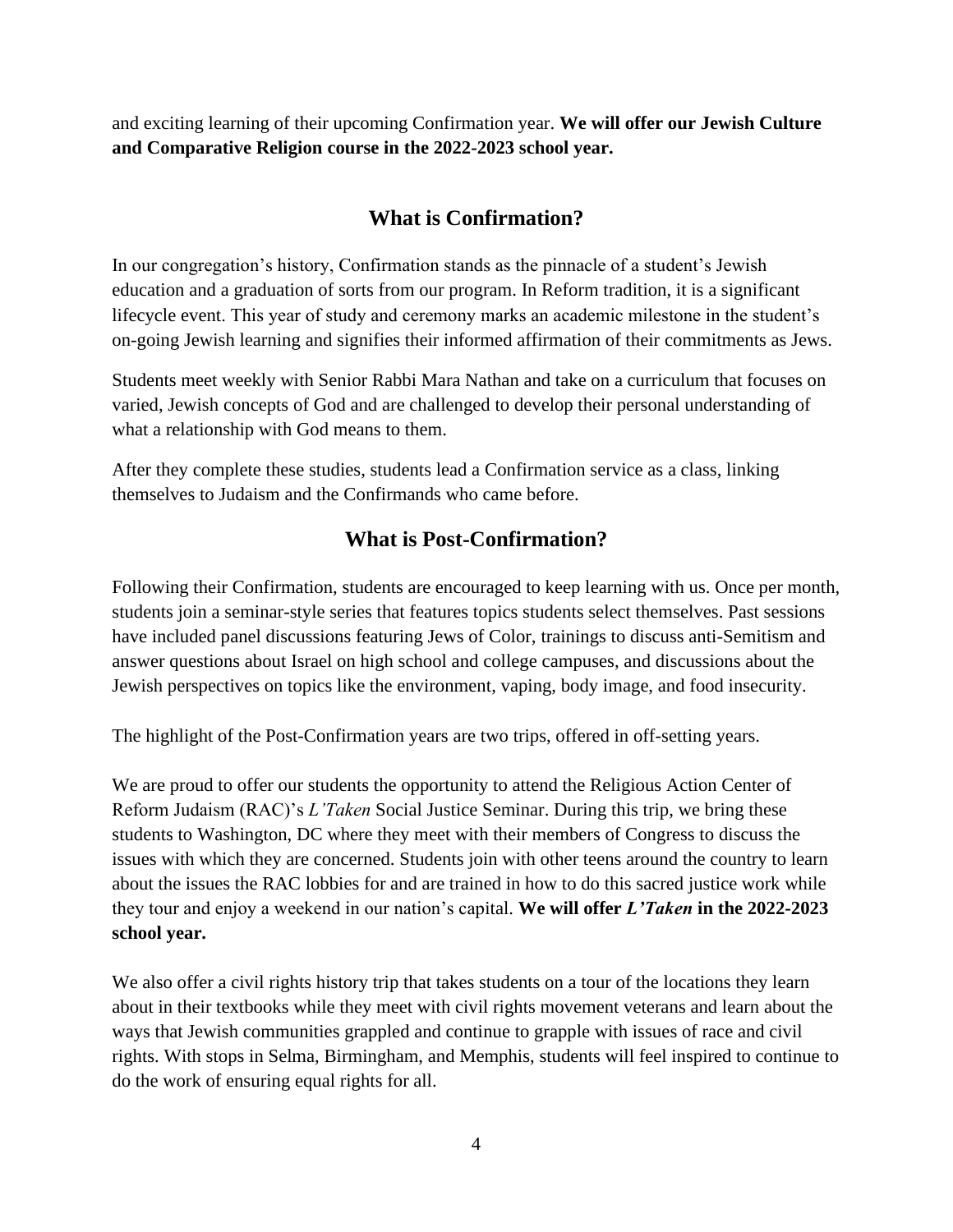and exciting learning of their upcoming Confirmation year. **We will offer our Jewish Culture and Comparative Religion course in the 2022-2023 school year.**

## **What is Confirmation?**

<span id="page-3-0"></span>In our congregation's history, Confirmation stands as the pinnacle of a student's Jewish education and a graduation of sorts from our program. In Reform tradition, it is a significant lifecycle event. This year of study and ceremony marks an academic milestone in the student's on-going Jewish learning and signifies their informed affirmation of their commitments as Jews.

Students meet weekly with Senior Rabbi Mara Nathan and take on a curriculum that focuses on varied, Jewish concepts of God and are challenged to develop their personal understanding of what a relationship with God means to them.

After they complete these studies, students lead a Confirmation service as a class, linking themselves to Judaism and the Confirmands who came before.

#### **What is Post-Confirmation?**

<span id="page-3-1"></span>Following their Confirmation, students are encouraged to keep learning with us. Once per month, students join a seminar-style series that features topics students select themselves. Past sessions have included panel discussions featuring Jews of Color, trainings to discuss anti-Semitism and answer questions about Israel on high school and college campuses, and discussions about the Jewish perspectives on topics like the environment, vaping, body image, and food insecurity.

The highlight of the Post-Confirmation years are two trips, offered in off-setting years.

We are proud to offer our students the opportunity to attend the Religious Action Center of Reform Judaism (RAC)'s *L'Taken* Social Justice Seminar. During this trip, we bring these students to Washington, DC where they meet with their members of Congress to discuss the issues with which they are concerned. Students join with other teens around the country to learn about the issues the RAC lobbies for and are trained in how to do this sacred justice work while they tour and enjoy a weekend in our nation's capital. **We will offer** *L'Taken* **in the 2022-2023 school year.**

We also offer a civil rights history trip that takes students on a tour of the locations they learn about in their textbooks while they meet with civil rights movement veterans and learn about the ways that Jewish communities grappled and continue to grapple with issues of race and civil rights. With stops in Selma, Birmingham, and Memphis, students will feel inspired to continue to do the work of ensuring equal rights for all.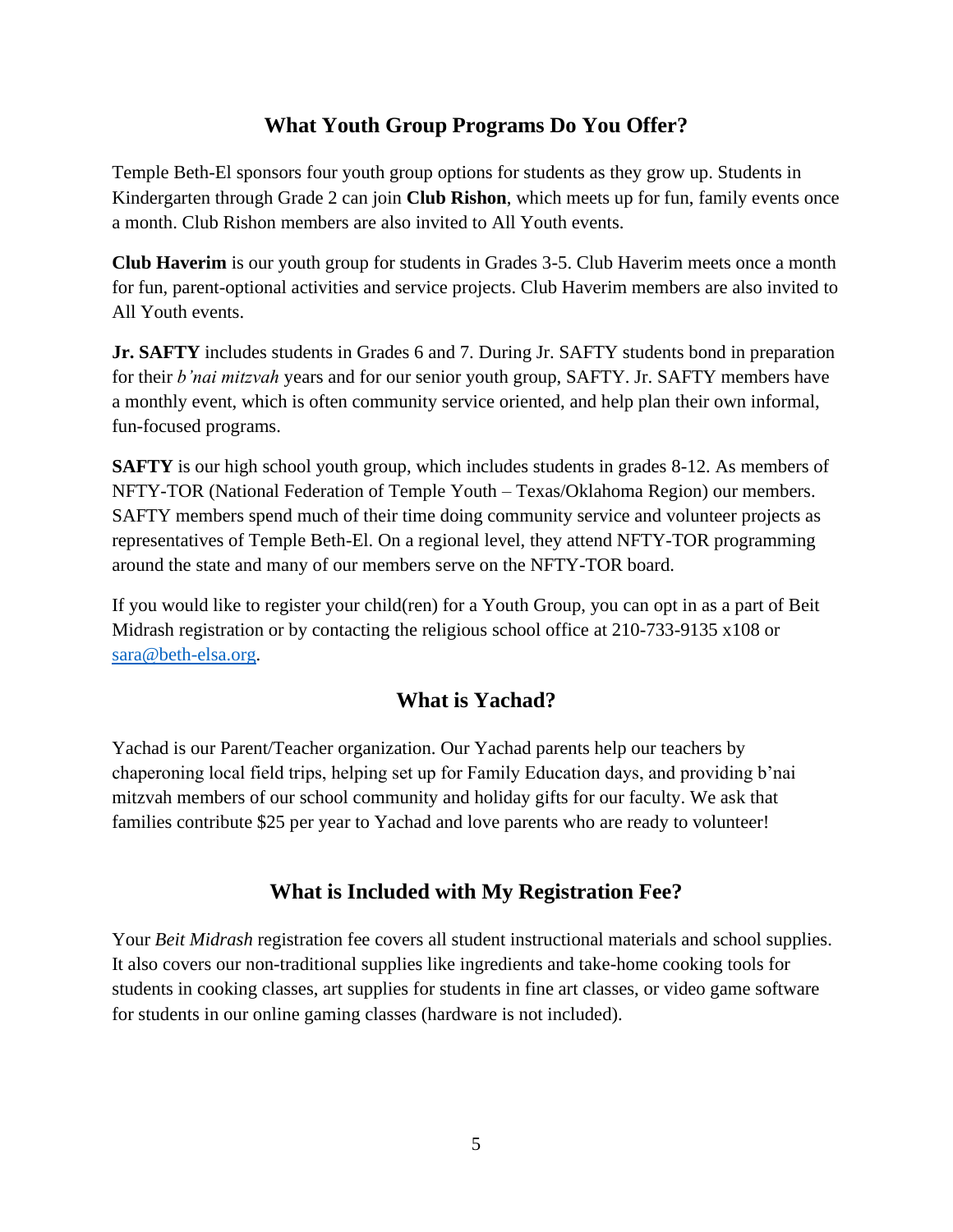#### **What Youth Group Programs Do You Offer?**

<span id="page-4-0"></span>Temple Beth-El sponsors four youth group options for students as they grow up. Students in Kindergarten through Grade 2 can join **Club Rishon**, which meets up for fun, family events once a month. Club Rishon members are also invited to All Youth events.

**Club Haverim** is our youth group for students in Grades 3-5. Club Haverim meets once a month for fun, parent-optional activities and service projects. Club Haverim members are also invited to All Youth events.

**Jr. SAFTY** includes students in Grades 6 and 7. During Jr. SAFTY students bond in preparation for their *b'nai mitzvah* years and for our senior youth group, SAFTY. Jr. SAFTY members have a monthly event, which is often community service oriented, and help plan their own informal, fun-focused programs.

**SAFTY** is our high school youth group, which includes students in grades 8-12. As members of NFTY-TOR (National Federation of Temple Youth – Texas/Oklahoma Region) our members. SAFTY members spend much of their time doing community service and volunteer projects as representatives of Temple Beth-El. On a regional level, they attend NFTY-TOR programming around the state and many of our members serve on the NFTY-TOR board.

If you would like to register your child(ren) for a Youth Group, you can opt in as a part of Beit Midrash registration or by contacting the religious school office at 210-733-9135 x108 or sara@beth-elsa.org.

### **What is Yachad?**

<span id="page-4-1"></span>Yachad is our Parent/Teacher organization. Our Yachad parents help our teachers by chaperoning local field trips, helping set up for Family Education days, and providing b'nai mitzvah members of our school community and holiday gifts for our faculty. We ask that families contribute \$25 per year to Yachad and love parents who are ready to volunteer!

### **What is Included with My Registration Fee?**

<span id="page-4-2"></span>Your *Beit Midrash* registration fee covers all student instructional materials and school supplies. It also covers our non-traditional supplies like ingredients and take-home cooking tools for students in cooking classes, art supplies for students in fine art classes, or video game software for students in our online gaming classes (hardware is not included).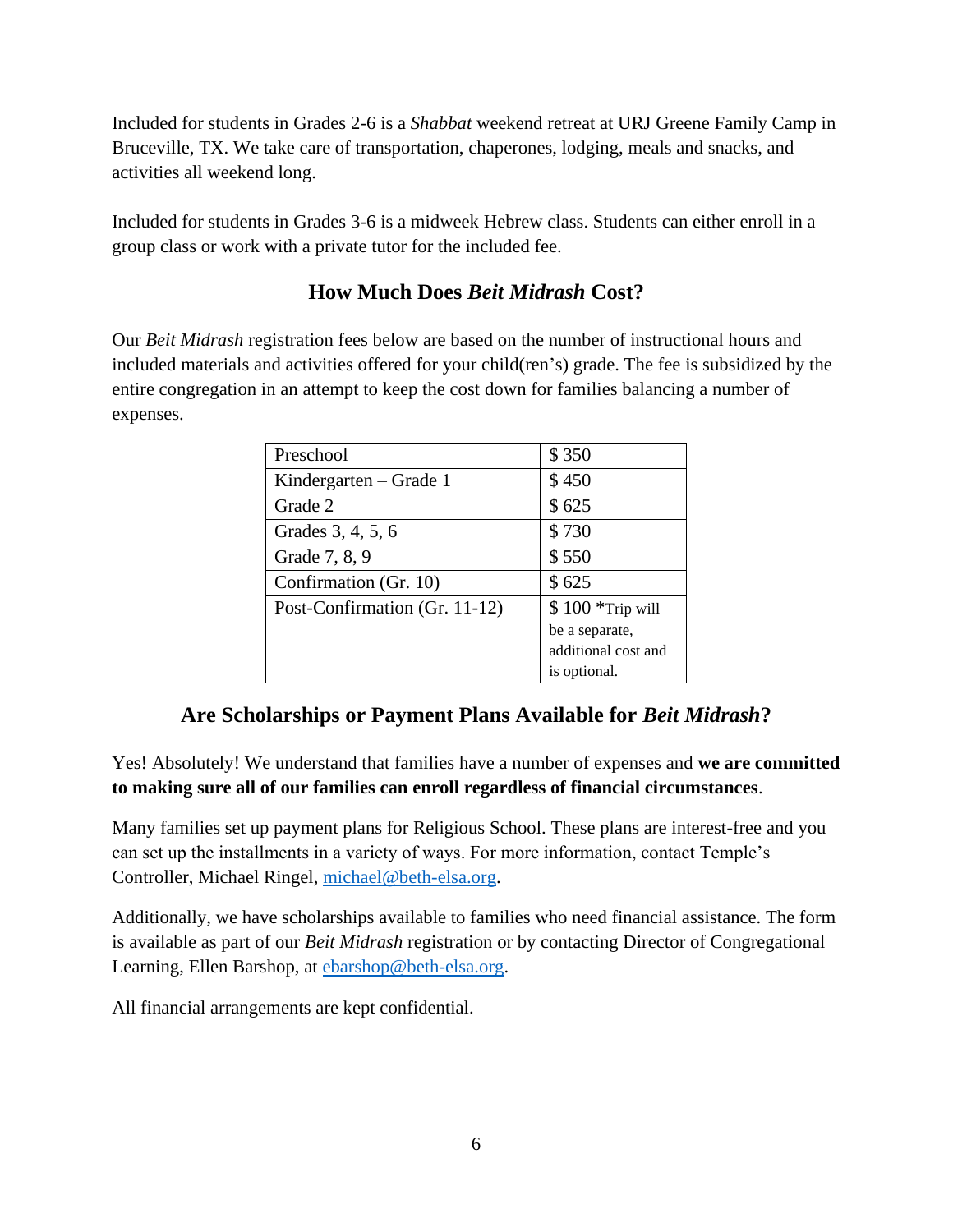Included for students in Grades 2-6 is a *Shabbat* weekend retreat at URJ Greene Family Camp in Bruceville, TX. We take care of transportation, chaperones, lodging, meals and snacks, and activities all weekend long.

<span id="page-5-0"></span>Included for students in Grades 3-6 is a midweek Hebrew class. Students can either enroll in a group class or work with a private tutor for the included fee.

### **How Much Does** *Beit Midrash* **Cost?**

Our *Beit Midrash* registration fees below are based on the number of instructional hours and included materials and activities offered for your child(ren's) grade. The fee is subsidized by the entire congregation in an attempt to keep the cost down for families balancing a number of expenses.

| Preschool                     | \$350               |
|-------------------------------|---------------------|
| Kindergarten $-$ Grade 1      | \$450               |
| Grade 2                       | \$625               |
| Grades 3, 4, 5, 6             | \$730               |
| Grade 7, 8, 9                 | \$550               |
| Confirmation (Gr. 10)         | \$625               |
| Post-Confirmation (Gr. 11-12) | $$100$ *Trip will   |
|                               | be a separate,      |
|                               | additional cost and |
|                               | is optional.        |

### **Are Scholarships or Payment Plans Available for** *Beit Midrash***?**

<span id="page-5-1"></span>Yes! Absolutely! We understand that families have a number of expenses and **we are committed to making sure all of our families can enroll regardless of financial circumstances**.

Many families set up payment plans for Religious School. These plans are interest-free and you can set up the installments in a variety of ways. For more information, contact Temple's Controller, Michael Ringel, michael@beth-elsa.org.

Additionally, we have scholarships available to families who need financial assistance. The form is available as part of our *Beit Midrash* registration or by contacting Director of Congregational Learning, Ellen Barshop, at ebarshop@beth-elsa.org.

All financial arrangements are kept confidential.